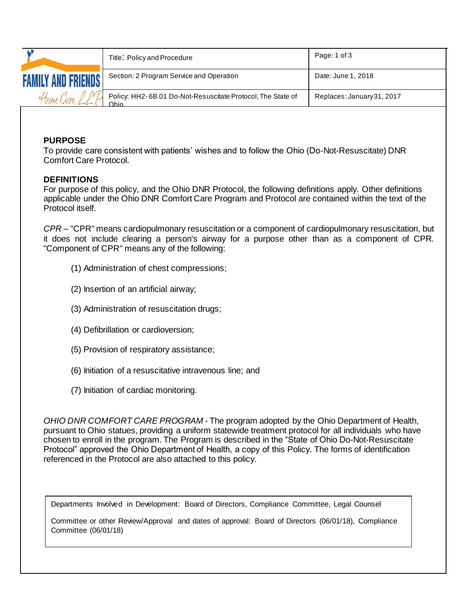|                           | Title: Policy and Procedure                                         | Page: 1 of 3               |
|---------------------------|---------------------------------------------------------------------|----------------------------|
| <b>FAMILY AND FRIENDS</b> | Section: 2 Program Service and Operation                            | Date: June 1, 2018         |
| Home                      | Policy: HH2-6B.01 Do-Not-Resuscitate Protocol, The State of<br>Ohio | Replaces: January 31, 2017 |

### **PURPOSE**

To provide care consistent with patients' wishes and to follow the Ohio (Do-Not-Resuscitate) DNR Comfort Care Protocol.

### **DEFINITIONS**

For purpose of this policy, and the Ohio DNR Protocol, the following definitions apply. Other definitions applicable under the Ohio DNR Comfort Care Program and Protocol are contained within the text of the Protocol itself.

*CPR –* "CPR" means cardiopulmonary resuscitation or a component of cardiopulmonary resuscitation, but it does not include clearing a person's airway for a purpose other than as a component of CPR. "Component of CPR" means any of the following:

- (1) Administration of chest compressions;
- (2) Insertion of an artificial airway;
- (3) Administration of resuscitation drugs;
- (4) Defibrillation or cardioversion;
- (5) Provision of respiratory assistance;
- (6) Initiation of a resuscitative intravenous line; and
- (7) Initiation of cardiac monitoring.

*OHIO DNR COMFORT CARE PROGRAM -* The program adopted by the Ohio Department of Health, pursuant to Ohio statues, providing a uniform statewide treatment protocol for all individuals who have chosen to enroll in the program. The Program is described in the "State of Ohio Do-Not-Resuscitate Protocol" approved the Ohio Department of Health, a copy of this Policy. The forms of identification referenced in the Protocol are also attached to this policy.

Departments Involved in Development: Board of Directors, Compliance Committee, Legal Counsel

Committee or other Review/Approval and dates of approval: Board of Directors (06/01/18), Compliance Committee (06/01/18)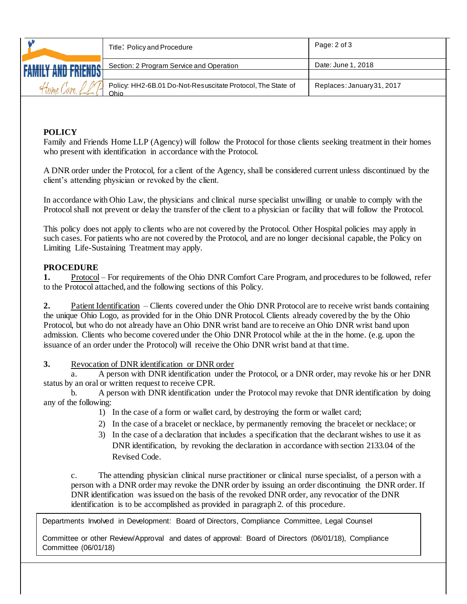|      | Title: Policy and Procedure                                         | Page: 2 of 3               |
|------|---------------------------------------------------------------------|----------------------------|
|      | Section: 2 Program Service and Operation                            | Date: June 1, 2018         |
| Home | Policy: HH2-6B.01 Do-Not-Resuscitate Protocol, The State of<br>Ohio | Replaces: January 31, 2017 |

## **POLICY**

Family and Friends Home LLP (Agency) will follow the Protocol for those clients seeking treatment in their homes who present with identification in accordance with the Protocol.

A DNR order under the Protocol, for a client of the Agency, shall be considered current unless discontinued by the client's attending physician or revoked by the client.

In accordance with Ohio Law, the physicians and clinical nurse specialist unwilling or unable to comply with the Protocol shall not prevent or delay the transfer of the client to a physician or facility that will follow the Protocol.

This policy does not apply to clients who are not covered by the Protocol. Other Hospital policies may apply in such cases. For patients who are not covered by the Protocol, and are no longer decisional capable, the Policy on Limiting Life-Sustaining Treatment may apply.

### **PROCEDURE**

**1.** Protocol – For requirements of the Ohio DNR Comfort Care Program, and procedures to be followed, refer to the Protocol attached, and the following sections of this Policy.

**2.** Patient Identification – Clients covered under the Ohio DNR Protocol are to receive wrist bands containing the unique Ohio Logo, as provided for in the Ohio DNR Protocol. Clients already covered by the by the Ohio Protocol, but who do not already have an Ohio DNR wrist band are to receive an Ohio DNR wrist band upon admission. Clients who become covered under the Ohio DNR Protocol while at the in the home. (e.g. upon the issuance of an order under the Protocol) will receive the Ohio DNR wrist band at that time.

**3.** Revocation of DNR identification or DNR order

a. A person with DNR identification under the Protocol, or a DNR order, may revoke his or her DNR status by an oral or written request to receive CPR.

b. A person with DNR identification under the Protocol may revoke that DNR identification by doing any of the following:

1) In the case of a form or wallet card, by destroying the form or wallet card;

- 2) In the case of a bracelet or necklace, by permanently removing the bracelet or necklace; or
- 3) In the case of a declaration that includes a specification that the declarant wishes to use it as DNR identification, by revoking the declaration in accordance with section 2133.04 of the Revised Code.

c. The attending physician clinical nurse practitioner or clinical nurse specialist, of a person with a person with a DNR order may revoke the DNR order by issuing an order discontinuing the DNR order. If DNR identification was issued on the basis of the revoked DNR order, any revocatior of the DNR identification is to be accomplished as provided in paragraph 2. of this procedure.

Departments Involved in Development: Board of Directors, Compliance Committee, Legal Counsel Departments Involved in Development: Board of Directors, Compliance Committee, Legal Counsel

Committee or other Review/Approval and dates of approval: Board of Directors (06/01/18), Compliance (2/17) Committee (06/01/18)